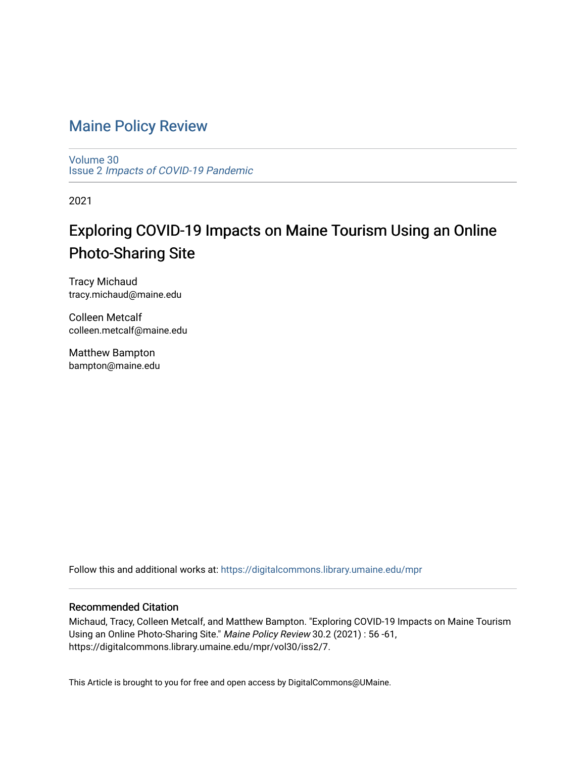# [Maine Policy Review](https://digitalcommons.library.umaine.edu/mpr)

[Volume 30](https://digitalcommons.library.umaine.edu/mpr/vol30) Issue 2 [Impacts of COVID-19 Pandemic](https://digitalcommons.library.umaine.edu/mpr/vol30/iss2)

2021

# Exploring COVID-19 Impacts on Maine Tourism Using an Online Photo-Sharing Site

Tracy Michaud tracy.michaud@maine.edu

Colleen Metcalf colleen.metcalf@maine.edu

Matthew Bampton bampton@maine.edu

Follow this and additional works at: [https://digitalcommons.library.umaine.edu/mpr](https://digitalcommons.library.umaine.edu/mpr?utm_source=digitalcommons.library.umaine.edu%2Fmpr%2Fvol30%2Fiss2%2F7&utm_medium=PDF&utm_campaign=PDFCoverPages)

# Recommended Citation

Michaud, Tracy, Colleen Metcalf, and Matthew Bampton. "Exploring COVID-19 Impacts on Maine Tourism Using an Online Photo-Sharing Site." Maine Policy Review 30.2 (2021) : 56 -61, https://digitalcommons.library.umaine.edu/mpr/vol30/iss2/7.

This Article is brought to you for free and open access by DigitalCommons@UMaine.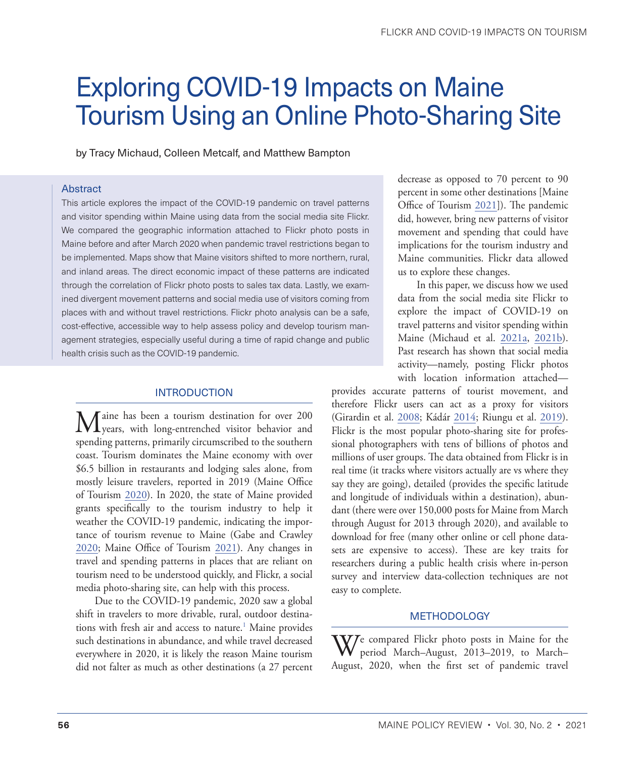# <span id="page-1-0"></span>Exploring COVID-19 Impacts on Maine Tourism Using an Online Photo-Sharing Site

by Tracy Michaud, Colleen Metcalf, and Matthew Bampton

#### Abstract

This article explores the impact of the COVID-19 pandemic on travel patterns and visitor spending within Maine using data from the social media site Flickr. We compared the geographic information attached to Flickr photo posts in Maine before and after March 2020 when pandemic travel restrictions began to be implemented. Maps show that Maine visitors shifted to more northern, rural, and inland areas. The direct economic impact of these patterns are indicated through the correlation of Flickr photo posts to sales tax data. Lastly, we examined divergent movement patterns and social media use of visitors coming from places with and without travel restrictions. Flickr photo analysis can be a safe, cost-effective, accessible way to help assess policy and develop tourism management strategies, especially useful during a time of rapid change and public health crisis such as the COVID-19 pandemic.

# INTRODUCTION

Maine has been a tourism destination for over 200 years, with long-entrenched visitor behavior and spending patterns, primarily circumscribed to the southern coast. Tourism dominates the Maine economy with over \$6.5 billion in restaurants and lodging sales alone, from mostly leisure travelers, reported in 2019 (Maine Office of Tourism [2020\)](#page-5-0). In 2020, the state of Maine provided grants specifically to the tourism industry to help it weather the COVID-19 pandemic, indicating the importance of tourism revenue to Maine (Gabe and Crawley [2020](#page-5-1); Maine Office of Tourism [2021](#page-5-2)). Any changes in travel and spending patterns in places that are reliant on tourism need to be understood quickly, and Flickr, a social media photo-sharing site, can help with this process.

Due to the COVID-19 pandemic, 2020 saw a global shift in travelers to more drivable, rural, outdoor destina-tions with fresh air and access to nature.<sup>[1](#page-5-3)</sup> Maine provides such destinations in abundance, and while travel decreased everywhere in 2020, it is likely the reason Maine tourism did not falter as much as other destinations (a 27 percent

decrease as opposed to 70 percent to 90 percent in some other destinations [Maine Office of Tourism [2021](#page-5-2)]). The pandemic did, however, bring new patterns of visitor movement and spending that could have implications for the tourism industry and Maine communities. Flickr data allowed us to explore these changes.

In this paper, we discuss how we used data from the social media site Flickr to explore the impact of COVID-19 on travel patterns and visitor spending within Maine (Michaud et al. [2021a,](#page-6-0) [2021b](#page-6-1)). Past research has shown that social media activity—namely, posting Flickr photos with location information attached—

provides accurate patterns of tourist movement, and therefore Flickr users can act as a proxy for visitors (Girardin et al. [2008;](#page-5-4) Kádár 2014; Riungu et al. [2019](#page-6-2)). Flickr is the most popular photo-sharing site for professional photographers with tens of billions of photos and millions of user groups. The data obtained from Flickr is in real time (it tracks where visitors actually are vs where they say they are going), detailed (provides the specific latitude and longitude of individuals within a destination), abundant (there were over 150,000 posts for Maine from March through August for 2013 through 2020), and available to download for free (many other online or cell phone datasets are expensive to access). These are key traits for researchers during a public health crisis where in-person survey and interview data-collection techniques are not easy to complete.

#### **METHODOLOGY**

 $\Delta V$ e compared Flickr photo posts in Maine for the period March–August, 2013–2019, to March– August, 2020, when the first set of pandemic travel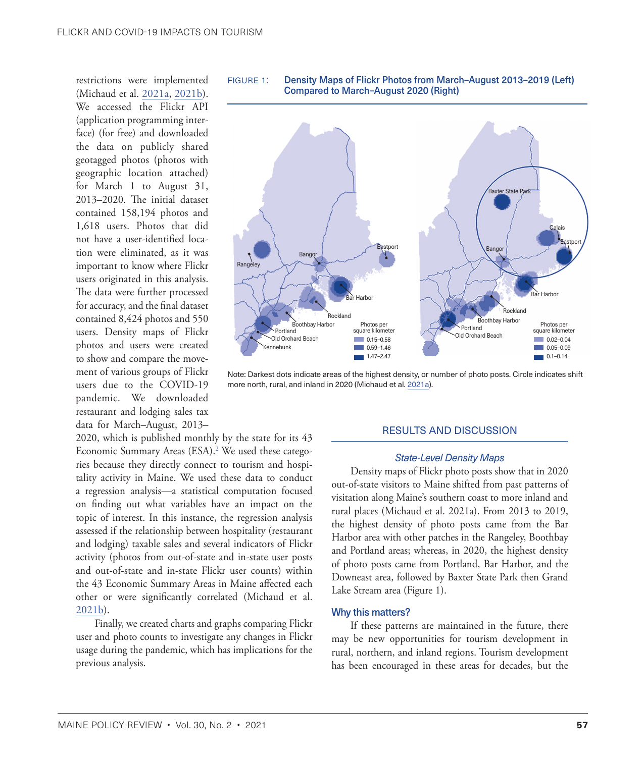<span id="page-2-0"></span>restrictions were implemented (Michaud et al. [2021a](#page-6-0), [2021b](#page-6-1)). We accessed the Flickr API (application programming interface) (for free) and downloaded the data on publicly shared geotagged photos (photos with geographic location attached) for March 1 to August 31, 2013–2020. The initial dataset contained 158,194 photos and 1,618 users. Photos that did not have a user-identified location were eliminated, as it was important to know where Flickr users originated in this analysis. The data were further processed for accuracy, and the final dataset contained 8,424 photos and 550 users. Density maps of Flickr photos and users were created to show and compare the movement of various groups of Flickr users due to the COVID-19 pandemic. We downloaded restaurant and lodging sales tax data for March–August, 2013–

2020, which is published monthly by the state for its 43 Economic Summary Areas (ESA).<sup>[2](#page-5-3)</sup> We used these categories because they directly connect to tourism and hospitality activity in Maine. We used these data to conduct a regression analysis—a statistical computation focused on finding out what variables have an impact on the topic of interest. In this instance, the regression analysis assessed if the relationship between hospitality (restaurant and lodging) taxable sales and several indicators of Flickr activity (photos from out-of-state and in-state user posts and out-of-state and in-state Flickr user counts) within the 43 Economic Summary Areas in Maine affected each other or were significantly correlated (Michaud et al. [2021b\)](#page-6-1).

Finally, we created charts and graphs comparing Flickr user and photo counts to investigate any changes in Flickr usage during the pandemic, which has implications for the previous analysis.





Note: Darkest dots indicate areas of the highest density, or number of photo posts. Circle indicates shift more north, rural, and inland in 2020 (Michaud et al. [2021a\)](#page-6-0).

# RESULTS AND DISCUSSION

#### *State-Level Density Maps*

Density maps of Flickr photo posts show that in 2020 out-of-state visitors to Maine shifted from past patterns of visitation along Maine's southern coast to more inland and rural places (Michaud et al. 2021a). From 2013 to 2019, the highest density of photo posts came from the Bar Harbor area with other patches in the Rangeley, Boothbay and Portland areas; whereas, in 2020, the highest density of photo posts came from Portland, Bar Harbor, and the Downeast area, followed by Baxter State Park then Grand Lake Stream area (Figure 1).

#### Why this matters?

If these patterns are maintained in the future, there may be new opportunities for tourism development in rural, northern, and inland regions. Tourism development has been encouraged in these areas for decades, but the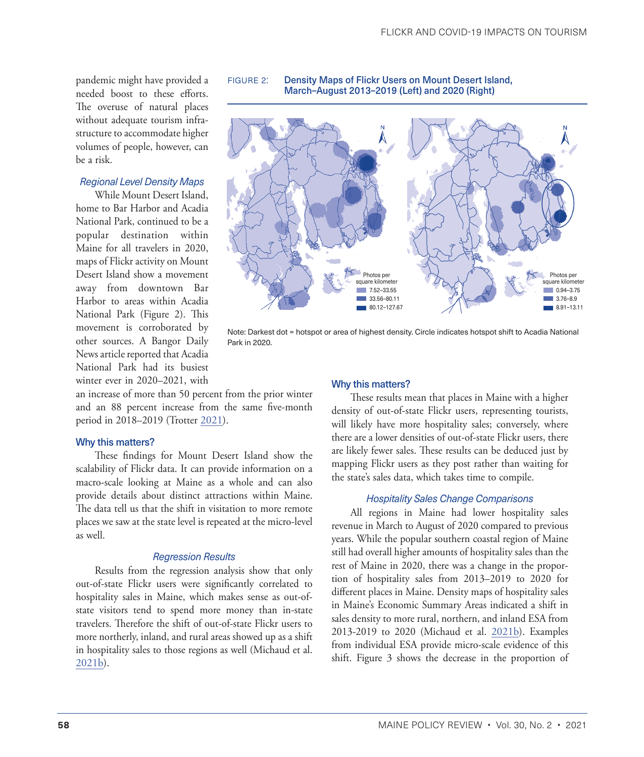pandemic might have provided a needed boost to these efforts. The overuse of natural places without adequate tourism infrastructure to accommodate higher volumes of people, however, can be a risk.

# *Regional Level Density Maps*

While Mount Desert Island, home to Bar Harbor and Acadia National Park, continued to be a popular destination within Maine for all travelers in 2020, maps of Flickr activity on Mount Desert Island show a movement away from downtown Bar Harbor to areas within Acadia National Park (Figure 2). This movement is corroborated by other sources. A Bangor Daily News article reported that Acadia National Park had its busiest winter ever in 2020–2021, with

figure 2: Density Maps of Flickr Users on Mount Desert Island, March–August 2013–2019 (Left) and 2020 (Right)



Note: Darkest dot = hotspot or area of highest density. Circle indicates hotspot shift to Acadia National Park in 2020.

an increase of more than 50 percent from the prior winter and an 88 percent increase from the same five-month period in 2018–2019 (Trotter [2021\)](#page-6-3).

#### Why this matters?

These findings for Mount Desert Island show the scalability of Flickr data. It can provide information on a macro-scale looking at Maine as a whole and can also provide details about distinct attractions within Maine. The data tell us that the shift in visitation to more remote places we saw at the state level is repeated at the micro-level as well.

#### *Regression Results*

Results from the regression analysis show that only out-of-state Flickr users were significantly correlated to hospitality sales in Maine, which makes sense as out-ofstate visitors tend to spend more money than in-state travelers. Therefore the shift of out-of-state Flickr users to more northerly, inland, and rural areas showed up as a shift in hospitality sales to those regions as well (Michaud et al. [2021b](#page-6-1)).

#### Why this matters?

These results mean that places in Maine with a higher density of out-of-state Flickr users, representing tourists, will likely have more hospitality sales; conversely, where there are a lower densities of out-of-state Flickr users, there are likely fewer sales. These results can be deduced just by mapping Flickr users as they post rather than waiting for the state's sales data, which takes time to compile.

#### *Hospitality Sales Change Comparisons*

All regions in Maine had lower hospitality sales revenue in March to August of 2020 compared to previous years. While the popular southern coastal region of Maine still had overall higher amounts of hospitality sales than the rest of Maine in 2020, there was a change in the proportion of hospitality sales from 2013–2019 to 2020 for different places in Maine. Density maps of hospitality sales in Maine's Economic Summary Areas indicated a shift in sales density to more rural, northern, and inland ESA from 2013-2019 to 2020 (Michaud et al. [2021b](#page-6-1)). Examples from individual ESA provide micro-scale evidence of this shift. Figure 3 shows the decrease in the proportion of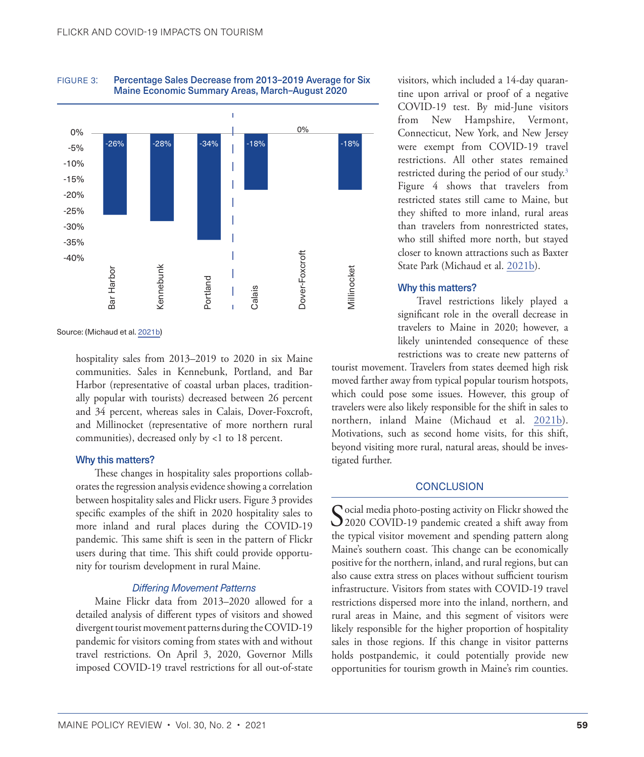

<span id="page-4-0"></span>FIGURE 3: Percentage Sales Decrease from 2013-2019 Average for Six Maine Economic Summary Areas, March–August 2020

Source: (Michaud et al. [2021b](#page-6-1))

hospitality sales from 2013–2019 to 2020 in six Maine communities. Sales in Kennebunk, Portland, and Bar Harbor (representative of coastal urban places, traditionally popular with tourists) decreased between 26 percent and 34 percent, whereas sales in Calais, Dover-Foxcroft, and Millinocket (representative of more northern rural communities), decreased only by <1 to 18 percent.

#### Why this matters?

These changes in hospitality sales proportions collaborates the regression analysis evidence showing a correlation between hospitality sales and Flickr users. Figure 3 provides specific examples of the shift in 2020 hospitality sales to more inland and rural places during the COVID-19 pandemic. This same shift is seen in the pattern of Flickr users during that time. This shift could provide opportunity for tourism development in rural Maine.

#### *Differing Movement Patterns*

Maine Flickr data from 2013–2020 allowed for a detailed analysis of different types of visitors and showed divergent tourist movement patterns during the COVID-19 pandemic for visitors coming from states with and without travel restrictions. On April 3, 2020, Governor Mills imposed COVID-19 travel restrictions for all out-of-state

visitors, which included a 14-day quarantine upon arrival or proof of a negative COVID-19 test. By mid-June visitors from New Hampshire, Vermont, Connecticut, New York, and New Jersey were exempt from COVID-19 travel restrictions. All other states remained restricted during the period of our study.<sup>[3](#page-5-3)</sup> Figure 4 shows that travelers from restricted states still came to Maine, but they shifted to more inland, rural areas than travelers from nonrestricted states, who still shifted more north, but stayed closer to known attractions such as Baxter State Park (Michaud et al. [2021b\)](#page-6-1).

#### Why this matters?

Travel restrictions likely played a significant role in the overall decrease in travelers to Maine in 2020; however, a likely unintended consequence of these restrictions was to create new patterns of

tourist movement. Travelers from states deemed high risk moved farther away from typical popular tourism hotspots, which could pose some issues. However, this group of travelers were also likely responsible for the shift in sales to northern, inland Maine (Michaud et al. [2021b](#page-6-1)). Motivations, such as second home visits, for this shift, beyond visiting more rural, natural areas, should be investigated further.

### **CONCLUSION**

Social media photo-posting activity on Flickr showed the 2020 COVID-19 pandemic created a shift away from the typical visitor movement and spending pattern along Maine's southern coast. This change can be economically positive for the northern, inland, and rural regions, but can also cause extra stress on places without sufficient tourism infrastructure. Visitors from states with COVID-19 travel restrictions dispersed more into the inland, northern, and rural areas in Maine, and this segment of visitors were likely responsible for the higher proportion of hospitality sales in those regions. If this change in visitor patterns holds postpandemic, it could potentially provide new opportunities for tourism growth in Maine's rim counties.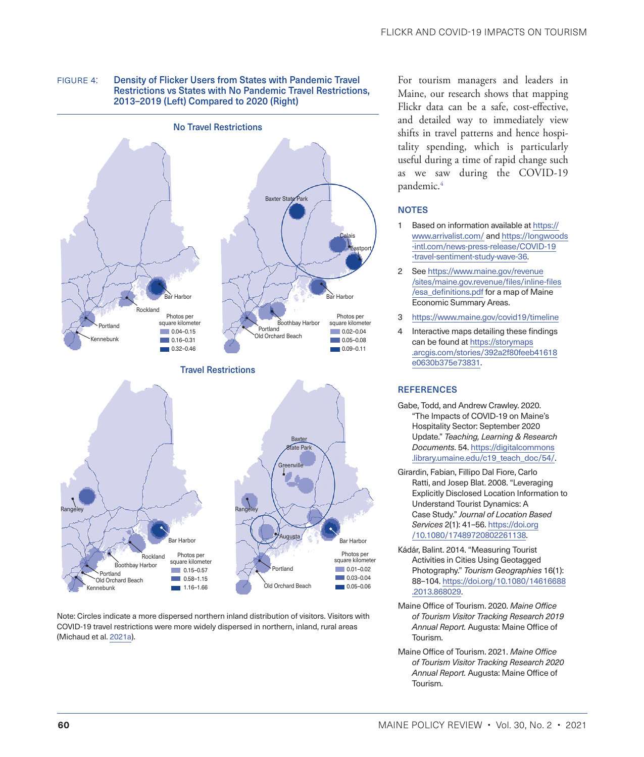<span id="page-5-3"></span>



Note: Circles indicate a more dispersed northern inland distribution of visitors. Visitors with COVID-19 travel restrictions were more widely dispersed in northern, inland, rural areas (Michaud et al. [2021a\)](#page-6-0).

1.16–1.66

For tourism managers and leaders in Maine, our research shows that mapping Flickr data can be a safe, cost-effective, and detailed way to immediately view shifts in travel patterns and hence hospitality spending, which is particularly useful during a time of rapid change such as we saw during the COVID-19 pandemic.4

# **NOTES**

- [1](#page-1-0) Based on information available at [https://](https://www.arrivalist.com/) [www.arrivalist.com/](https://www.arrivalist.com/) and [https://longwoods](https://longwoods-intl.com/news-press-release/covid-19-travel-sentiment-study-wave-36) [-intl.com/news-press-release/COVID-19](https://longwoods-intl.com/news-press-release/covid-19-travel-sentiment-study-wave-36) [-travel-sentiment-study-wave-36.](https://longwoods-intl.com/news-press-release/covid-19-travel-sentiment-study-wave-36)
- [2](#page-2-0) See [https://www.maine.gov/revenue](https://www.maine.gov/revenue/sites/maine.gov.revenue/files/inline-files/esa_definitions.pdf) [/sites/maine.gov.revenue/files/inline-files](https://www.maine.gov/revenue/sites/maine.gov.revenue/files/inline-files/esa_definitions.pdf) [/esa\\_definitions.pdf](https://www.maine.gov/revenue/sites/maine.gov.revenue/files/inline-files/esa_definitions.pdf) for a map of Maine Economic Summary Areas.
- [3](#page-4-0) <https://www.maine.gov/covid19/timeline>
- 4 Interactive maps detailing these findings can be found at [https://storymaps](https://storymaps.arcgis.com/stories/392a2f80feeb41618e0630b375e73831) [.arcgis.com/stories/392a2f80feeb41618](https://storymaps.arcgis.com/stories/392a2f80feeb41618e0630b375e73831) [e0630b375e73831](https://storymaps.arcgis.com/stories/392a2f80feeb41618e0630b375e73831).

# **REFERENCES**

- <span id="page-5-1"></span>Gabe, Todd, and Andrew Crawley. 2020. "The Impacts of COVID-19 on Maine's Hospitality Sector: September 2020 Update." *Teaching, Learning & Research Documents*. 54. [https://digitalcommons](https://digitalcommons.library.umaine.edu/c19_teach_doc/54/) [.library.umaine.edu/c19\\_teach\\_doc/54/](https://digitalcommons.library.umaine.edu/c19_teach_doc/54/).
- <span id="page-5-4"></span>Girardin, Fabian, Fillipo Dal Fiore, Carlo Ratti, and Josep Blat. 2008. "Leveraging Explicitly Disclosed Location Information to Understand Tourist Dynamics: A Case Study." *Journal of Location Based Services* 2(1): 41–56. [https://doi.org](https://doi.org/10.1080/17489720802261138) [/10.1080/17489720802261138.](https://doi.org/10.1080/17489720802261138)
- Kádár, Balint. 2014. "Measuring Tourist Activities in Cities Using Geotagged Photography." *Tourism Geographies* 16(1): 88–104. [https://doi.org/10.1080/14616688](https://doi.org/10.1080/14616688.2013.868029) [.2013.868029](https://doi.org/10.1080/14616688.2013.868029).
- <span id="page-5-0"></span>Maine Office of Tourism. 2020. *Maine Office of Tourism Visitor Tracking Research 2019 Annual Report.* Augusta: Maine Office of Tourism.
- <span id="page-5-2"></span>Maine Office of Tourism. 2021. *Maine Office of Tourism Visitor Tracking Research 2020 Annual Report.* Augusta: Maine Office of Tourism.

Kennebunk